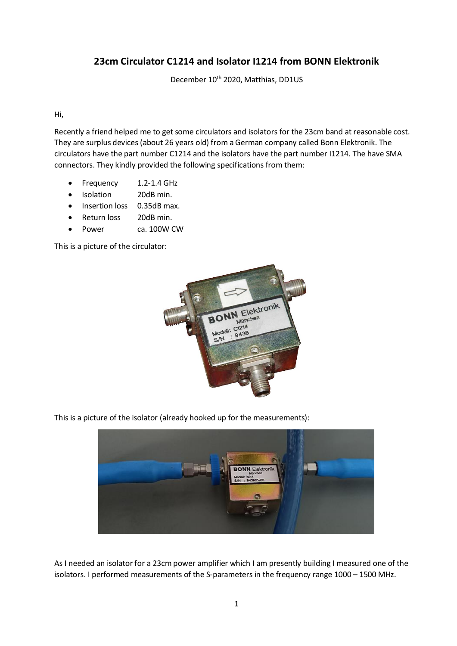## **23cm Circulator C1214 and Isolator I1214 from BONN Elektronik**

December 10<sup>th</sup> 2020, Matthias, DD1US

Hi,

Recently a friend helped me to get some circulators and isolators for the 23cm band at reasonable cost. They are surplus devices (about 26 years old) from a German company called Bonn Elektronik. The circulators have the part number C1214 and the isolators have the part number I1214. The have SMA connectors. They kindly provided the following specifications from them:

- Frequency 1.2-1.4 GHz
- Isolation 20dB min.
- Insertion loss 0.35dB max.
- Return loss 20dB min.
- Power ca. 100W CW

This is a picture of the circulator:



This is a picture of the isolator (already hooked up for the measurements):



As I needed an isolator for a 23cm power amplifier which I am presently building I measured one of the isolators. I performed measurements of the S-parameters in the frequency range 1000 – 1500 MHz.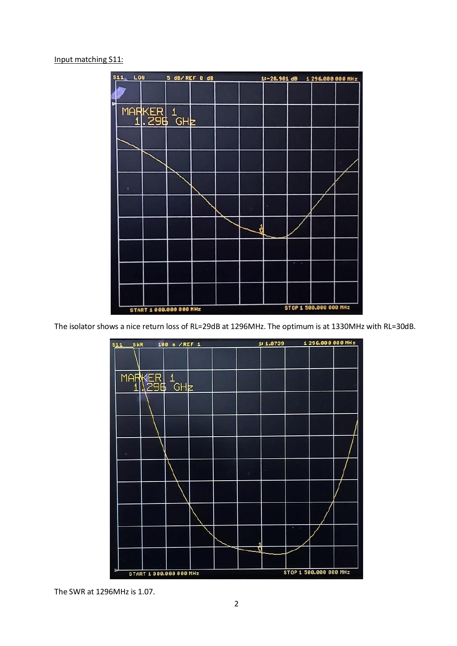## Input matching S11:



The isolator shows a nice return loss of RL=29dB at 1296MHz. The optimum is at 1330MHz with RL=30dB.



The SWR at 1296MHz is 1.07.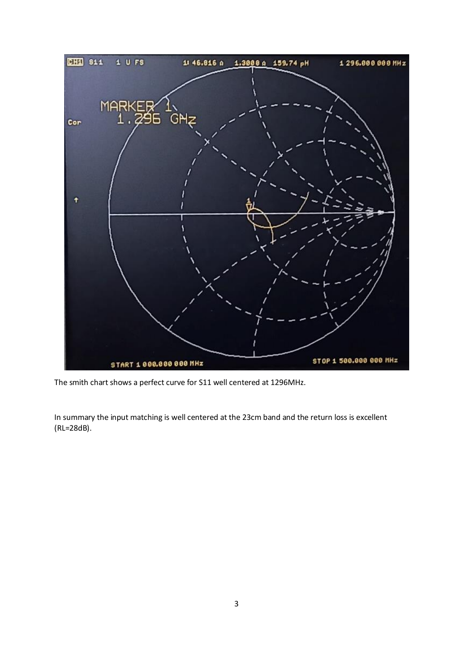

The smith chart shows a perfect curve for S11 well centered at 1296MHz.

In summary the input matching is well centered at the 23cm band and the return loss is excellent (RL=28dB).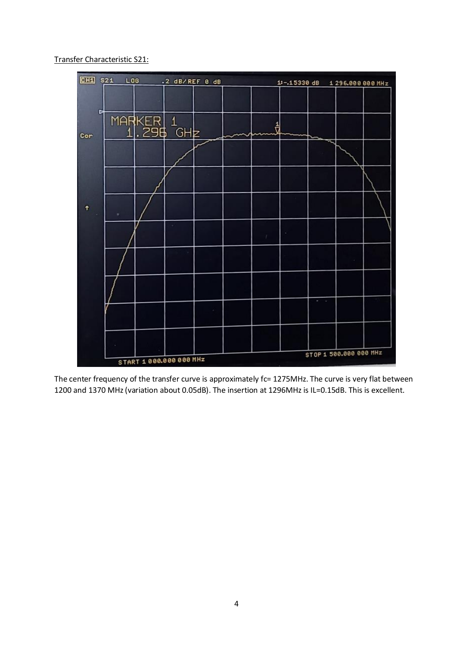Transfer Characteristic S21:



The center frequency of the transfer curve is approximately fc= 1275MHz. The curve is very flat between 1200 and 1370 MHz(variation about 0.05dB). The insertion at 1296MHz is IL=0.15dB. This is excellent.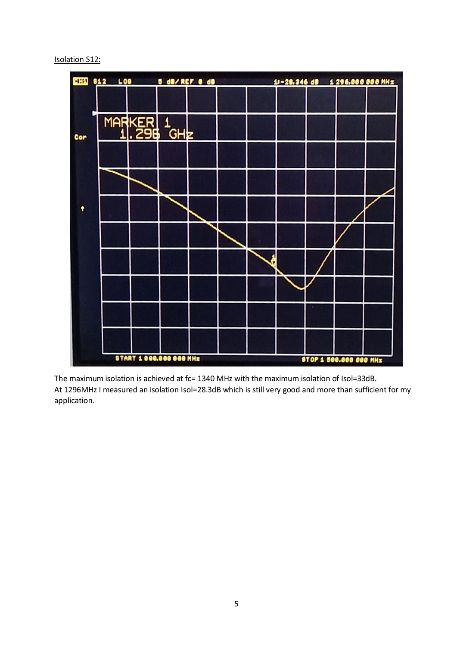## Isolation S12:



The maximum isolation is achieved at fc= 1340 MHz with the maximum isolation of Isol=33dB. At 1296MHz I measured an isolation Isol=28.3dB which is still very good and more than sufficient for my application.